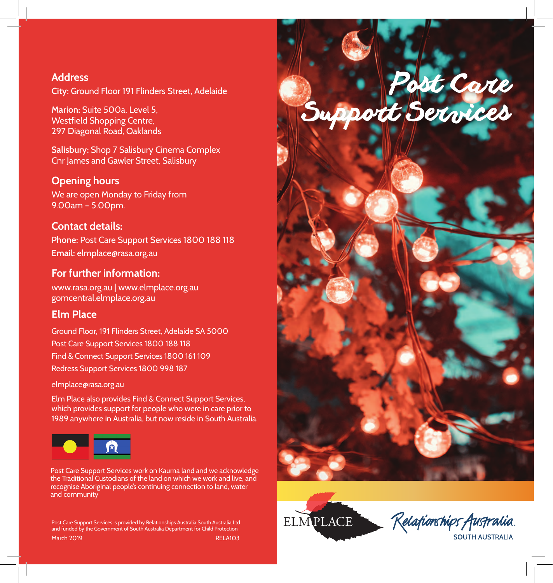



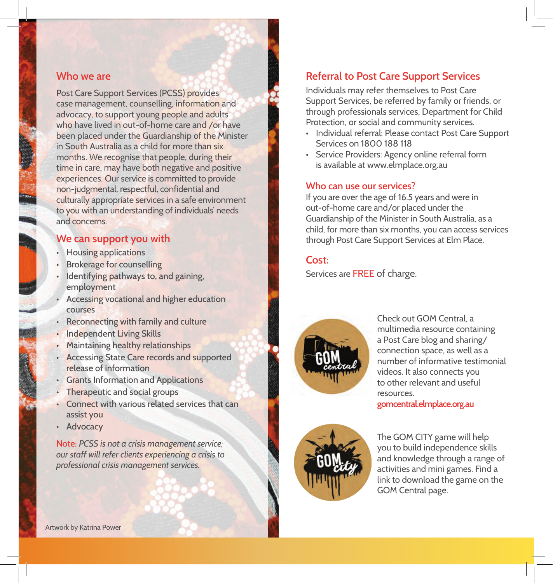#### **Who we are**

Post Care Support Services (PCSS) provides case management, counselling, information and advocacy, to support young people and adults who have lived in out-of-home care and /or have been placed under the Guardianship of the Minister in South Australia as a child for more than six months. We recognise that people, during their time in care, may have both negative and positive experiences. Our service is committed to provide non-judgmental, respectful, confidential and culturally appropriate services in a safe environment to you with an understanding of individuals' needs and concerns.

### **We can support you with**

- Housing applications
- **Brokerage for counselling**
- Identifying pathways to, and gaining, employment
- Accessing vocational and higher education courses
- Reconnecting with family and culture
- Independent Living Skills
- Maintaining healthy relationships
- Accessing State Care records and supported release of information
- Grants Information and Applications
- Therapeutic and social groups
- Connect with various related services that can assist you
- Advocacy

Note: *PCSS is not a crisis management service; our staff will refer clients experiencing a crisis to professional crisis management services.*

## **Referral to Post Care Support Services**

Individuals may refer themselves to Post Care Support Services, be referred by family or friends, or through professionals services, Department for Child Protection, or social and community services.

- Individual referral: Please contact Post Care Support Services on 1800 188 118
- Service Providers: Agency online referral form is available at www.elmplace.org.au

#### **Who can use our services?**

If you are over the age of 16.5 years and were in out-of-home care and/or placed under the Guardianship of the Minister in South Australia, as a child, for more than six months, you can access services through Post Care Support Services at Elm Place.

#### **Cost:**

Services are FREE of charge.



Check out GOM Central, a multimedia resource containing a Post Care blog and sharing/ connection space, as well as a number of informative testimonial videos. It also connects you to other relevant and useful resources.

**gomcentral.elmplace.org.au**



The GOM CITY game will help you to build independence skills and knowledge through a range of activities and mini games. Find a link to download the game on the GOM Central page.